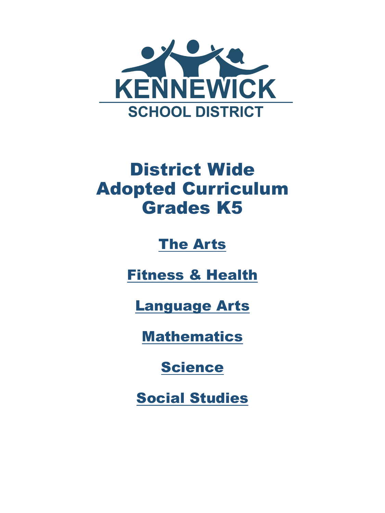

#### District Wide Adopted Curriculum Grades K5

#### [The Arts](#page-1-0)

[Fitness & Health](#page-2-0)

[Language Arts](#page-3-0)

**[Mathematics](#page-4-0)** 

[Science](#page-5-0)

[Social Studies](#page-8-0)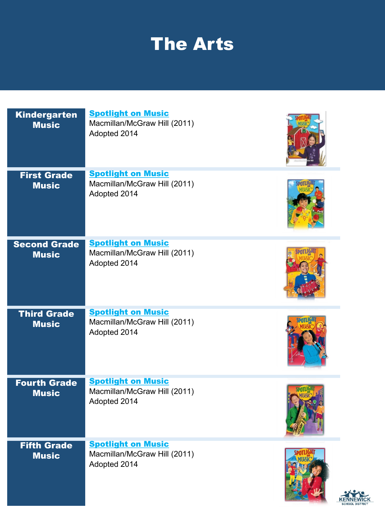### The Arts

<span id="page-1-0"></span>

| <b>Kindergarten</b><br><b>Music</b> | <b>Spotlight on Music</b><br>Macmillan/McGraw Hill (2011)<br>Adopted 2014 |  |
|-------------------------------------|---------------------------------------------------------------------------|--|
| <b>First Grade</b><br><b>Music</b>  | <b>Spotlight on Music</b><br>Macmillan/McGraw Hill (2011)<br>Adopted 2014 |  |
| <b>Second Grade</b><br><b>Music</b> | <b>Spotlight on Music</b><br>Macmillan/McGraw Hill (2011)<br>Adopted 2014 |  |
| <b>Third Grade</b><br><b>Music</b>  | <b>Spotlight on Music</b><br>Macmillan/McGraw Hill (2011)<br>Adopted 2014 |  |
| <b>Fourth Grade</b><br><b>Music</b> | <b>Spotlight on Music</b><br>Macmillan/McGraw Hill (2011)<br>Adopted 2014 |  |
| <b>Fifth Grade</b><br><b>Music</b>  | <b>Spotlight on Music</b><br>Macmillan/McGraw Hill (2011)<br>Adopted 2014 |  |



**REA**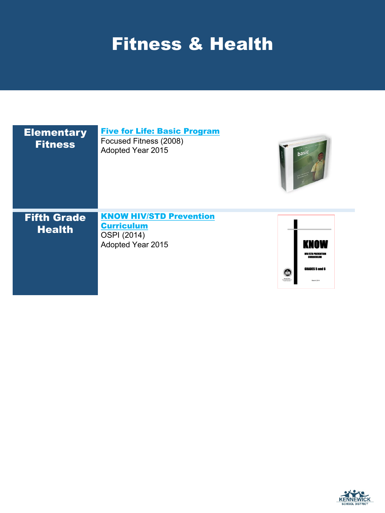### <span id="page-2-0"></span>Fitness & Health

| <b>Elementary</b><br><b>Fitness</b> | <b>Five for Life: Basic Program</b><br>Focused Fitness (2008)<br>Adopted Year 2015      | hasic                                                                                                                                              |
|-------------------------------------|-----------------------------------------------------------------------------------------|----------------------------------------------------------------------------------------------------------------------------------------------------|
| <b>Fifth Grade</b><br><b>Health</b> | <b>KNOW HIV/STD Prevention</b><br><b>Curriculum</b><br>OSPI (2014)<br>Adopted Year 2015 | <b>KNOW</b><br><b>HIV/STD PREVENTION</b><br><b>CURRICULUM</b><br>GRADES <sub>5</sub> and 6<br>Œ<br><b>Randy Dors</b><br>ex formation<br>March 2014 |

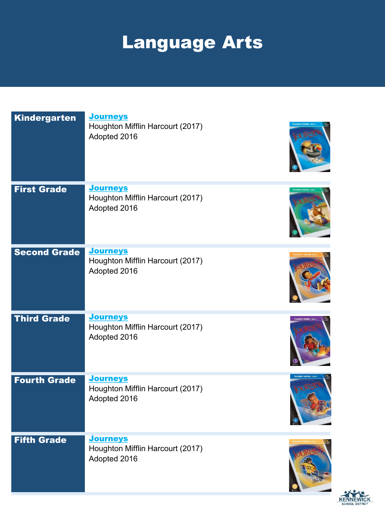# Language Arts

<span id="page-3-0"></span>

| Kindergarten        | <b>Journeys</b><br>Houghton Mifflin Harcourt (2017)<br>Adopted 2016 |                       |
|---------------------|---------------------------------------------------------------------|-----------------------|
| <b>First Grade</b>  | <b>Journeys</b><br>Houghton Mifflin Harcourt (2017)<br>Adopted 2016 |                       |
| <b>Second Grade</b> | <b>Journeys</b><br>Houghton Mifflin Harcourt (2017)<br>Adopted 2016 |                       |
| <b>Third Grade</b>  | <b>Journeys</b><br>Houghton Mifflin Harcourt (2017)<br>Adopted 2016 | <b>TEACHER'S EDIT</b> |
| <b>Fourth Grade</b> | <b>Journeys</b><br>Houghton Mifflin Harcourt (2017)<br>Adopted 2016 |                       |
| <b>Fifth Grade</b>  | <b>Journeys</b><br>Houghton Mifflin Harcourt (2017)<br>Adopted 2016 |                       |

KENNEWICK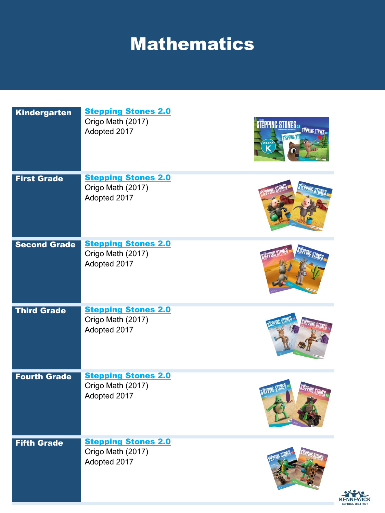## **Mathematics**

<span id="page-4-0"></span>

| <b>Kindergarten</b> | <b>Stepping Stones 2.0</b><br>Origo Math (2017)<br>Adopted 2017 | <b>STEPPING STONES</b><br><b>STEPPING STI</b> |
|---------------------|-----------------------------------------------------------------|-----------------------------------------------|
| <b>First Grade</b>  | <b>Stepping Stones 2.0</b><br>Origo Math (2017)<br>Adopted 2017 |                                               |
| <b>Second Grade</b> | <b>Stepping Stones 2.0</b><br>Origo Math (2017)<br>Adopted 2017 |                                               |
| <b>Third Grade</b>  | <b>Stepping Stones 2.0</b><br>Origo Math (2017)<br>Adopted 2017 |                                               |
| <b>Fourth Grade</b> | <b>Stepping Stones 2.0</b><br>Origo Math (2017)<br>Adopted 2017 | STEPPING                                      |
| <b>Fifth Grade</b>  | <b>Stepping Stones 2.0</b><br>Origo Math (2017)<br>Adopted 2017 |                                               |

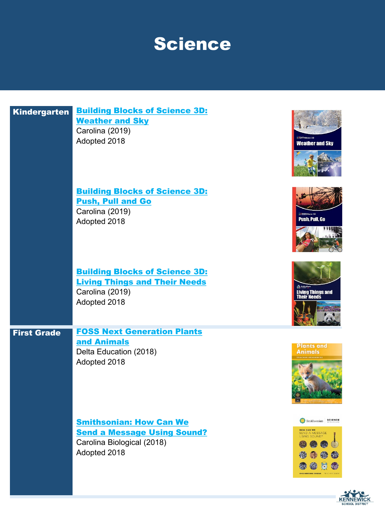#### Science

<span id="page-5-0"></span>

| <b>Kindergarten</b> | <b>Building Blocks of Science 3D:</b><br><b>Weather and Sky</b><br>Carolina (2019)<br>Adopted 2018                 |
|---------------------|--------------------------------------------------------------------------------------------------------------------|
|                     | <b>Building Blocks of Science 3D:</b><br><b>Push, Pull and Go</b><br>Carolina (2019)<br>Adopted 2018               |
|                     | <b>Building Blocks of Science 3D:</b><br><b>Living Things and Their Needs</b><br>Carolina (2019)<br>Adopted 2018   |
| <b>First Grade</b>  | <b>FOSS Next Generation Plants</b><br>and Animals<br>Delta Education (2018)<br>Adopted 2018                        |
|                     | <b>Smithsonian: How Can We</b><br><b>Send a Message Using Sound?</b><br>Carolina Biological (2018)<br>Adopted 2018 |













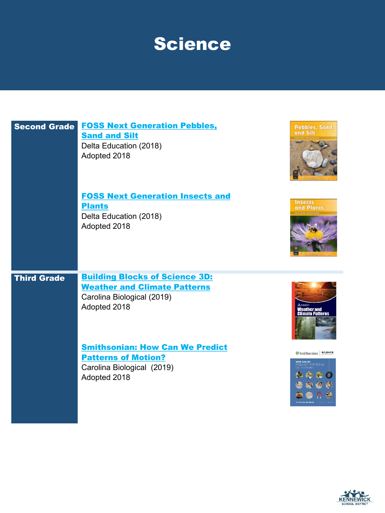### Science

| <b>Second Grade</b> | <b>FOSS Next Generation Pebbles,</b><br><b>Sand and Silt</b><br>Delta Education (2018)<br>Adopted 2018                     | Pebbles, Sand,<br>and Silt                                          |
|---------------------|----------------------------------------------------------------------------------------------------------------------------|---------------------------------------------------------------------|
|                     | <b>FOSS Next Generation Insects and</b><br><b>Plants</b><br>Delta Education (2018)<br>Adopted 2018                         | <b>Insects</b><br>and Plants                                        |
| <b>Third Grade</b>  | <b>Building Blocks of Science 3D:</b><br><b>Weather and Climate Patterns</b><br>Carolina Biological (2019)<br>Adopted 2018 | Neather and<br><b>Climate Patterns</b>                              |
|                     | <b>Smithsonian: How Can We Predict</b><br><b>Patterns of Motion?</b><br>Carolina Biological (2019)<br>Adopted 2018         | Smithsonian SCIENCE<br>HOW CAN WE<br>PREDICT PATTERNS<br>OF MOTION? |

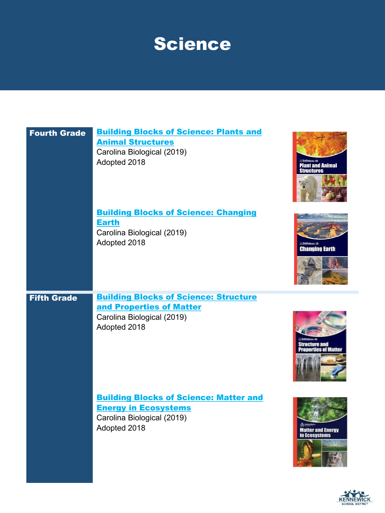### Science

| <b>Fourth Grade</b> | <b>Building Blocks of Science: Plants and</b><br><b>Animal Structures</b><br>Carolina Biological (2019)<br>Adopted 2018    | <b>Plant and Animal<br/>Structures</b>    |
|---------------------|----------------------------------------------------------------------------------------------------------------------------|-------------------------------------------|
|                     | <b>Building Blocks of Science: Changing</b><br><b>Earth</b><br>Carolina Biological (2019)<br>Adopted 2018                  | <b>Changing Earth</b>                     |
| <b>Fifth Grade</b>  | <b>Building Blocks of Science: Structure</b><br>and Properties of Matter<br>Carolina Biological (2019)<br>Adopted 2018     | ure and<br>rties of Matte                 |
|                     | <b>Building Blocks of Science: Matter and</b><br><b>Energy in Ecosystems</b><br>Carolina Biological (2019)<br>Adopted 2018 | <b>Matter and Energy</b><br>in Ecosystems |



**KENNEWICK**